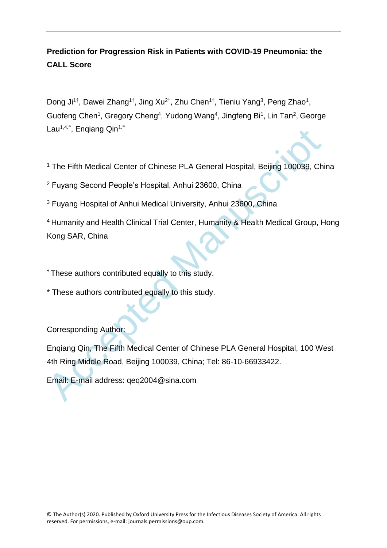# **Prediction for Progression Risk in Patients with COVID-19 Pneumonia: the CALL Score**

Dong Ji<sup>1†</sup>, Dawei Zhang<sup>1†</sup>, Jing Xu<sup>2†</sup>, Zhu Chen<sup>1†</sup>, Tieniu Yang<sup>3</sup>, Peng Zhao<sup>1</sup>, Guofeng Chen<sup>1</sup>, Gregory Cheng<sup>4</sup>, Yudong Wang<sup>4</sup>, Jingfeng Bi<sup>1</sup>, Lin Tan<sup>2</sup>, George Lau<sup>1,4,\*</sup>, Enqiang Qin<sup>1,\*</sup>

<sup>1</sup> The Fifth Medical Center of Chinese PLA General Hospital, Beijing 100039, China

<sup>2</sup> Fuyang Second People's Hospital, Anhui 23600, China

<sup>3</sup> Fuyang Hospital of Anhui Medical University, Anhui 23600, China

Lau<sup>144</sup>, Enqlang Qin<sup>11</sup><br>
<sup>2</sup> The Fifth Medical Center of Chinese PLA General Hospital, Beijing 100039, Chi<br>
<sup>2</sup> Fuyang Second People's Hospital, Anhui 23600, China<br>
<sup>3</sup> Fuyang Hospital of Anhui Medical University, Anhui <sup>4</sup> Humanity and Health Clinical Trial Center, Humanity & Health Medical Group, Hong Kong SAR, China

 $\dagger$  These authors contributed equally to this study.

\* These authors contributed equally to this study.

Corresponding Author:

Enqiang Qin, The Fifth Medical Center of Chinese PLA General Hospital, 100 West 4th Ring Middle Road, Beijing 100039, China; Tel: 86-10-66933422.

Email: E-mail address: qeq2004@sina.com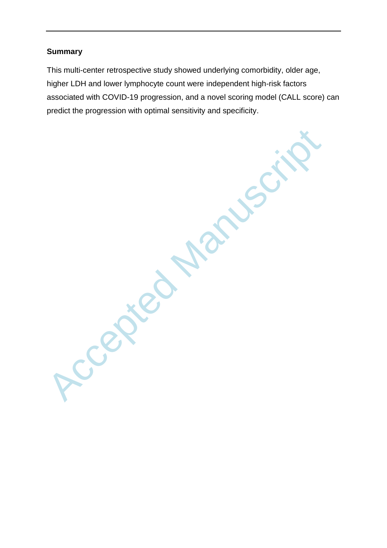## **Summary**

This multi-center retrospective study showed underlying comorbidity, older age, higher LDH and lower lymphocyte count were independent high-risk factors associated with COVID-19 progression, and a novel scoring model (CALL score) can predict the progression with optimal sensitivity and specificity.

Accepted Manuscri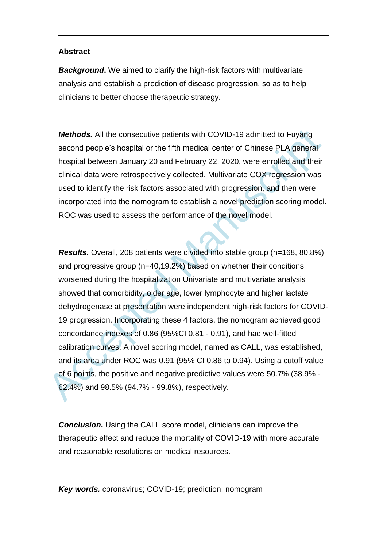#### **Abstract**

*Background***.** We aimed to clarify the high-risk factors with multivariate analysis and establish a prediction of disease progression, so as to help clinicians to better choose therapeutic strategy.

*Methods.* All the consecutive patients with COVID-19 admitted to Fuyang second people's hospital or the fifth medical center of Chinese PLA general hospital between January 20 and February 22, 2020, were enrolled and their clinical data were retrospectively collected. Multivariate COX regression was used to identify the risk factors associated with progression, and then were incorporated into the nomogram to establish a novel prediction scoring model. ROC was used to assess the performance of the novel model.

**Methods.** All the consecutive patients with COVID-19 admitted to Fuyang<br>second people's hospital or the fifth medical center of Chinese PLA general<br>hospital between January 20 and February 22, 2020, were enrolled and the *Results.* Overall, 208 patients were divided into stable group (n=168, 80.8%) and progressive group (n=40,19.2%) based on whether their conditions worsened during the hospitalization Univariate and multivariate analysis showed that comorbidity, older age, lower lymphocyte and higher lactate dehydrogenase at presentation were independent high-risk factors for COVID-19 progression. Incorporating these 4 factors, the nomogram achieved good concordance indexes of 0.86 (95%CI 0.81 - 0.91), and had well-fitted calibration curves. A novel scoring model, named as CALL, was established, and its area under ROC was 0.91 (95% CI 0.86 to 0.94). Using a cutoff value of 6 points, the positive and negative predictive values were 50.7% (38.9% - 62.4%) and 98.5% (94.7% - 99.8%), respectively.

**Conclusion.** Using the CALL score model, clinicians can improve the therapeutic effect and reduce the mortality of COVID-19 with more accurate and reasonable resolutions on medical resources.

*Key words.* coronavirus; COVID-19; prediction; nomogram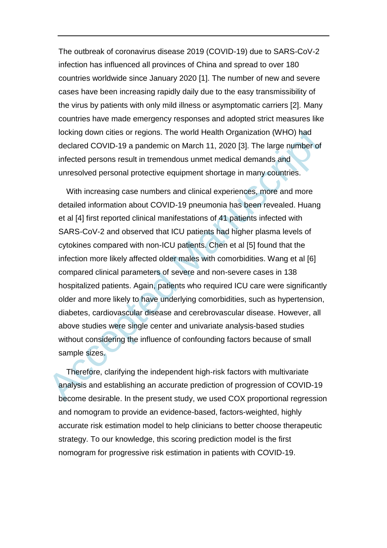The outbreak of coronavirus disease 2019 (COVID-19) due to SARS-CoV-2 infection has influenced all provinces of China and spread to over 180 countries worldwide since January 2020 [1]. The number of new and severe cases have been increasing rapidly daily due to the easy transmissibility of the virus by patients with only mild illness or asymptomatic carriers [2]. Many countries have made emergency responses and adopted strict measures like locking down cities or regions. The world Health Organization (WHO) had declared COVID-19 a pandemic on March 11, 2020 [3]. The large number of infected persons result in tremendous unmet medical demands and unresolved personal protective equipment shortage in many countries.

locking down cities or regions. The world Health Organization (WHO) had<br>declared COVID-19 a pandemic on March 11, 2020 [3]. The large number of<br>infected persons result in tremendous unmet medical demands and<br>unresolved per With increasing case numbers and clinical experiences, more and more detailed information about COVID-19 pneumonia has been revealed. Huang et al [4] first reported clinical manifestations of 41 patients infected with SARS-CoV-2 and observed that ICU patients had higher plasma levels of cytokines compared with non-ICU patients. Chen et al [5] found that the infection more likely affected older males with comorbidities. Wang et al [6] compared clinical parameters of severe and non-severe cases in 138 hospitalized patients. Again, patients who required ICU care were significantly older and more likely to have underlying comorbidities, such as hypertension, diabetes, cardiovascular disease and cerebrovascular disease. However, all above studies were single center and univariate analysis-based studies without considering the influence of confounding factors because of small sample sizes.

Therefore, clarifying the independent high-risk factors with multivariate analysis and establishing an accurate prediction of progression of COVID-19 become desirable. In the present study, we used COX proportional regression and nomogram to provide an evidence-based, factors-weighted, highly accurate risk estimation model to help clinicians to better choose therapeutic strategy. To our knowledge, this scoring prediction model is the first nomogram for progressive risk estimation in patients with COVID-19.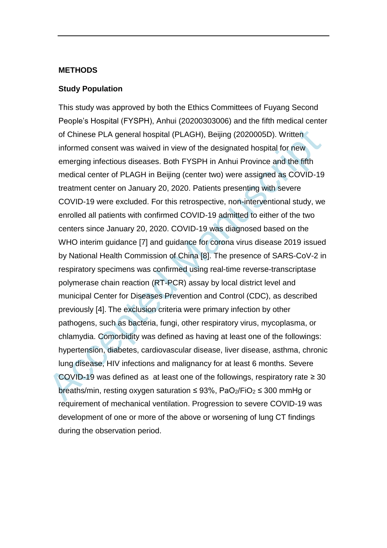#### **METHODS**

#### **Study Population**

of Chinese PLA general hospital (PLAGH), Beijing (2020005D). Written<br>informed consent was waived in view of the designated hospital for new<br>emerging infectious diseases. Both FYSPH in Anhui Province and the fifth<br>medical This study was approved by both the Ethics Committees of Fuyang Second People's Hospital (FYSPH), Anhui (20200303006) and the fifth medical center of Chinese PLA general hospital (PLAGH), Beijing (2020005D). Written informed consent was waived in view of the designated hospital for new emerging infectious diseases. Both FYSPH in Anhui Province and the fifth medical center of PLAGH in Beijing (center two) were assigned as COVID-19 treatment center on January 20, 2020. Patients presenting with severe COVID-19 were excluded. For this retrospective, non-interventional study, we enrolled all patients with confirmed COVID-19 admitted to either of the two centers since January 20, 2020. COVID-19 was diagnosed based on the WHO interim guidance [7] and guidance for corona virus disease 2019 issued by National Health Commission of China [8]. The presence of SARS-CoV-2 in respiratory specimens was confirmed using real-time reverse-transcriptase polymerase chain reaction (RT-PCR) assay by local district level and municipal Center for Diseases Prevention and Control (CDC), as described previously [4]. The exclusion criteria were primary infection by other pathogens, such as bacteria, fungi, other respiratory virus, mycoplasma, or chlamydia. Comorbidity was defined as having at least one of the followings: hypertension, diabetes, cardiovascular disease, liver disease, asthma, chronic lung disease, HIV infections and malignancy for at least 6 months. Severe COVID-19 was defined as at least one of the followings, respiratory rate  $\geq 30$ breaths/min, resting oxygen saturation  $\leq$  93%, PaO<sub>2</sub>/FiO<sub>2</sub>  $\leq$  300 mmHg or requirement of mechanical ventilation. Progression to severe COVID-19 was development of one or more of the above or worsening of lung CT findings during the observation period.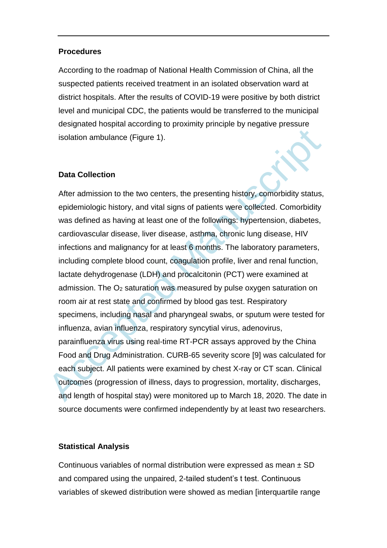#### **Procedures**

According to the roadmap of National Health Commission of China, all the suspected patients received treatment in an isolated observation ward at district hospitals. After the results of COVID-19 were positive by both district level and municipal CDC, the patients would be transferred to the municipal designated hospital according to proximity principle by negative pressure isolation ambulance (Figure 1).

## **Data Collection**

isolation ambulance (Figure 1).<br>
Data Collection<br>
After admission to the two centers, the presenting history, comorbidity status,<br>
epidemiologic history, and vital signs of patients were collected. Comorbidity<br>
was defined After admission to the two centers, the presenting history, comorbidity status, epidemiologic history, and vital signs of patients were collected. Comorbidity was defined as having at least one of the followings: hypertension, diabetes, cardiovascular disease, liver disease, asthma, chronic lung disease, HIV infections and malignancy for at least 6 months. The laboratory parameters, including complete blood count, coagulation profile, liver and renal function, lactate dehydrogenase (LDH) and procalcitonin (PCT) were examined at admission. The O<sup>2</sup> saturation was measured by pulse oxygen saturation on room air at rest state and confirmed by blood gas test. Respiratory specimens, including nasal and pharyngeal swabs, or sputum were tested for influenza, avian influenza, respiratory syncytial virus, adenovirus, parainfluenza virus using real-time RT-PCR assays approved by the China Food and Drug Administration. CURB-65 severity score [9] was calculated for each subject. All patients were examined by chest X-ray or CT scan. Clinical outcomes (progression of illness, days to progression, mortality, discharges, and length of hospital stay) were monitored up to March 18, 2020. The date in source documents were confirmed independently by at least two researchers.

## **Statistical Analysis**

Continuous variables of normal distribution were expressed as mean  $\pm$  SD and compared using the unpaired, 2-tailed student's t test. Continuous variables of skewed distribution were showed as median [interquartile range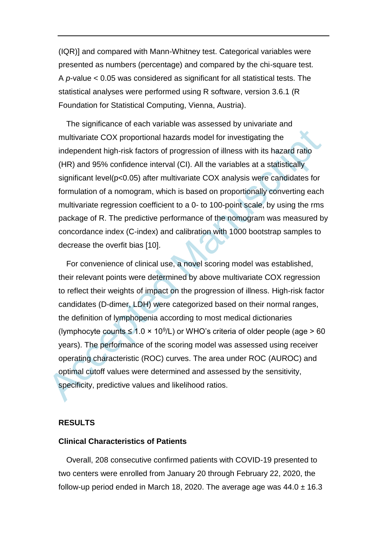(IQR)] and compared with Mann-Whitney test. Categorical variables were presented as numbers (percentage) and compared by the chi-square test. A *p*-value < 0.05 was considered as significant for all statistical tests. The statistical analyses were performed using R software, version 3.6.1 (R Foundation for Statistical Computing, Vienna, Austria).

The significance of each variable was assessed by univariate and multivariate COX proportional hazards model for investigating the independent high-risk factors of progression of illness with its hazard ratio (HR) and 95% confidence interval (CI). All the variables at a statistically significant level(p<0.05) after multivariate COX analysis were candidates for formulation of a nomogram, which is based on proportionally converting each multivariate regression coefficient to a 0- to 100-point scale, by using the rms package of R. The predictive performance of the nomogram was measured by concordance index (C-index) and calibration with 1000 bootstrap samples to decrease the overfit bias [10].

multivariate COX proportional hazards model for investigating the<br>independent high-risk factors of progression of illness with its hazard ratio<br>(HR) and 95% confidence interval (CI). All the variables at a statistically<br>s For convenience of clinical use, a novel scoring model was established, their relevant points were determined by above multivariate COX regression to reflect their weights of impact on the progression of illness. High-risk factor candidates (D-dimer, LDH) were categorized based on their normal ranges, the definition of lymphopenia according to most medical dictionaries (lymphocyte counts  $\leq 1.0 \times 10^9$ /L) or WHO's criteria of older people (age > 60 years). The performance of the scoring model was assessed using receiver operating characteristic (ROC) curves. The area under ROC (AUROC) and optimal cutoff values were determined and assessed by the sensitivity, specificity, predictive values and likelihood ratios.

#### **RESULTS**

### **Clinical Characteristics of Patients**

Overall, 208 consecutive confirmed patients with COVID-19 presented to two centers were enrolled from January 20 through February 22, 2020, the follow-up period ended in March 18, 2020. The average age was  $44.0 \pm 16.3$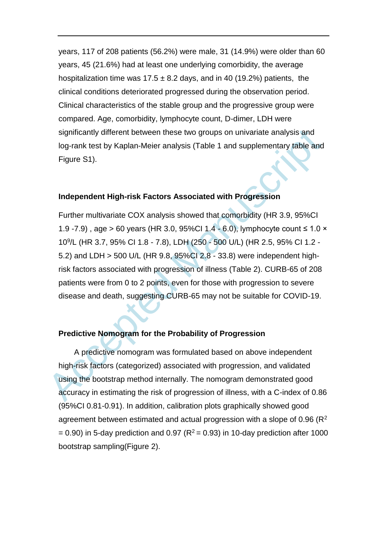years, 117 of 208 patients (56.2%) were male, 31 (14.9%) were older than 60 years, 45 (21.6%) had at least one underlying comorbidity, the average hospitalization time was  $17.5 \pm 8.2$  days, and in 40 (19.2%) patients, the clinical conditions deteriorated progressed during the observation period. Clinical characteristics of the stable group and the progressive group were compared. Age, comorbidity, lymphocyte count, D-dimer, LDH were significantly different between these two groups on univariate analysis and log-rank test by Kaplan-Meier analysis (Table 1 and supplementary table and Figure S1).

#### **Independent High-risk Factors Associated with Progression**

significantly different between these two groups on univariate analysis and<br>log-rank test by Kaplan-Meier analysis (Table 1 and supplementary table and<br>Figure S1).<br>
Independent High-risk Factors Associated with Progression Further multivariate COX analysis showed that comorbidity (HR 3.9, 95%CI 1.9 -7.9), age > 60 years (HR 3.0, 95%Cl 1.4 - 6.0), lymphocyte count ≤ 1.0  $\times$ 10<sup>9</sup> /L (HR 3.7, 95% CI 1.8 - 7.8), LDH (250 - 500 U/L) (HR 2.5, 95% CI 1.2 - 5.2) and LDH > 500 U/L (HR 9.8, 95%CI 2.8 - 33.8) were independent highrisk factors associated with progression of illness (Table 2). CURB-65 of 208 patients were from 0 to 2 points, even for those with progression to severe disease and death, suggesting CURB-65 may not be suitable for COVID-19.

#### **Predictive Nomogram for the Probability of Progression**

A predictive nomogram was formulated based on above independent high-risk factors (categorized) associated with progression, and validated using the bootstrap method internally. The nomogram demonstrated good accuracy in estimating the risk of progression of illness, with a C-index of 0.86 (95%CI 0.81-0.91). In addition, calibration plots graphically showed good agreement between estimated and actual progression with a slope of  $0.96$  ( $R^2$ )  $= 0.90$ ) in 5-day prediction and 0.97 ( $R^2 = 0.93$ ) in 10-day prediction after 1000 bootstrap sampling(Figure 2).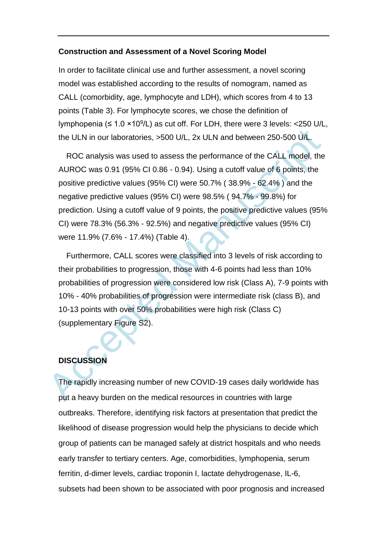#### **Construction and Assessment of a Novel Scoring Model**

In order to facilitate clinical use and further assessment, a novel scoring model was established according to the results of nomogram, named as CALL (comorbidity, age, lymphocyte and LDH), which scores from 4 to 13 points (Table 3). For lymphocyte scores, we chose the definition of lymphopenia ( $\leq 1.0 \times 10^9$ /L) as cut off. For LDH, there were 3 levels: <250 U/L, the ULN in our laboratories, >500 U/L, 2x ULN and between 250-500 U/L.

the ULN in our laboratories, >500 U/L, 2x ULN and between 250-500 U/L.<br>
ROC analysis was used to assess the performance of the CALL model, the<br>
AUROC was 0.91 (95% CI 0.86 - 0.94). Using a cutoff value of 6 points, the<br>
p ROC analysis was used to assess the performance of the CALL model, the AUROC was 0.91 (95% CI 0.86 - 0.94). Using a cutoff value of 6 points, the positive predictive values (95% CI) were 50.7% ( 38.9% - 62.4% ) and the negative predictive values (95% CI) were 98.5% ( 94.7% - 99.8%) for prediction. Using a cutoff value of 9 points, the positive predictive values (95% CI) were 78.3% (56.3% - 92.5%) and negative predictive values (95% CI) were 11.9% (7.6% - 17.4%) (Table 4).

Furthermore, CALL scores were classified into 3 levels of risk according to their probabilities to progression, those with 4-6 points had less than 10% probabilities of progression were considered low risk (Class A), 7-9 points with 10% - 40% probabilities of progression were intermediate risk (class B), and 10-13 points with over 50% probabilities were high risk (Class C) (supplementary Figure S2).

## **DISCUSSION**

The rapidly increasing number of new COVID-19 cases daily worldwide has put a heavy burden on the medical resources in countries with large outbreaks. Therefore, identifying risk factors at presentation that predict the likelihood of disease progression would help the physicians to decide which group of patients can be managed safely at district hospitals and who needs early transfer to tertiary centers. Age, comorbidities, lymphopenia, serum ferritin, d-dimer levels, cardiac troponin I, lactate dehydrogenase, IL-6, subsets had been shown to be associated with poor prognosis and increased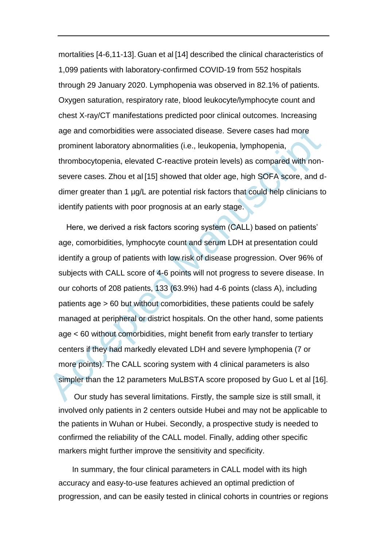mortalities [4-6,11-13]. Guan et al [14] described the clinical characteristics of 1,099 patients with laboratory-confirmed COVID-19 from 552 hospitals through 29 January 2020. Lymphopenia was observed in 82.1% of patients. Oxygen saturation, respiratory rate, blood leukocyte/lymphocyte count and chest X-ray/CT manifestations predicted poor clinical outcomes. Increasing age and comorbidities were associated disease. Severe cases had more prominent laboratory abnormalities (i.e., leukopenia, lymphopenia, thrombocytopenia, elevated C-reactive protein levels) as compared with nonsevere cases. Zhou et al [15] showed that older age, high SOFA score, and ddimer greater than 1 µg/L are potential risk factors that could help clinicians to identify patients with poor prognosis at an early stage.

age and comorbidities were associated disease. Severe cases had more<br>prominent laboratory abnormalities (i.e., leukopenia, lymphopenia,<br>thrombocytopenia, elevated C-reactive protein levels) as compared with non-<br>severe ca Here, we derived a risk factors scoring system (CALL) based on patients' age, comorbidities, lymphocyte count and serum LDH at presentation could identify a group of patients with low risk of disease progression. Over 96% of subjects with CALL score of 4-6 points will not progress to severe disease. In our cohorts of 208 patients, 133 (63.9%) had 4-6 points (class A), including patients age > 60 but without comorbidities, these patients could be safely managed at peripheral or district hospitals. On the other hand, some patients age < 60 without comorbidities, might benefit from early transfer to tertiary centers if they had markedly elevated LDH and severe lymphopenia (7 or more points). The CALL scoring system with 4 clinical parameters is also simpler than the 12 parameters MuLBSTA score proposed by Guo L et al [16].

Our study has several limitations. Firstly, the sample size is still small, it involved only patients in 2 centers outside Hubei and may not be applicable to the patients in Wuhan or Hubei. Secondly, a prospective study is needed to confirmed the reliability of the CALL model. Finally, adding other specific markers might further improve the sensitivity and specificity.

In summary, the four clinical parameters in CALL model with its high accuracy and easy-to-use features achieved an optimal prediction of progression, and can be easily tested in clinical cohorts in countries or regions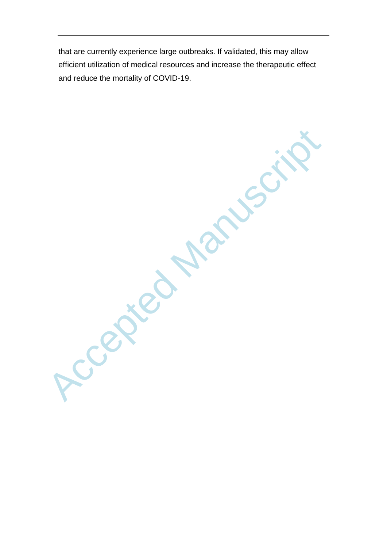that are currently experience large outbreaks. If validated, this may allow efficient utilization of medical resources and increase the therapeutic effect and reduce the mortality of COVID-19.

Ccepted Manus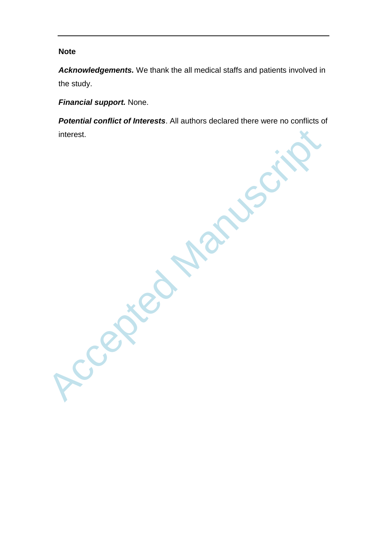## **Note**

*Acknowledgements.* We thank the all medical staffs and patients involved in the study.

**Financial support.** None.

*Potential conflict of Interests*. All authors declared there were no conflicts of interest.

Accepted Manuscript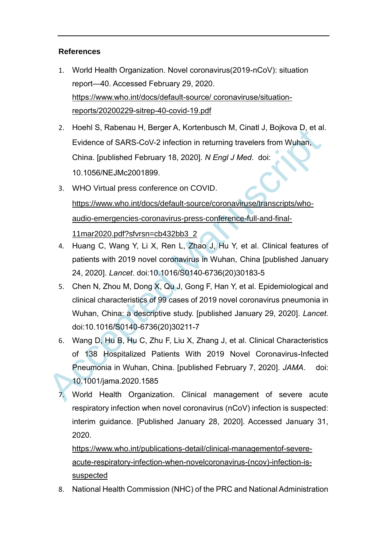## **References**

- 1. World Health Organization. Novel coronavirus(2019-nCoV): situation report—40. Accessed February 29, 2020. https://www.who.int/docs/default-source/ coronaviruse/situationreports/20200229-sitrep-40-covid-19.pdf
- 2. Hoehl S, Rabenau H, Berger A, Kortenbusch M, Cinatl J, Bojkova D, et al. Evidence of SARS-CoV-2 infection in returning travelers from Wuhan, China. [published February 18, 2020]. *N Engl J Med*. doi: 10.1056/NEJMc2001899.
- 2. Froenii S, Rabeliau H, Belge A, Roteliusisch M, Ciliau J, Bojnova D, et al.<br>
Evidence of SARS-CoV-2 infection in returning travelers from Wuhan,<br>
China. [published February 18, 2020]. N Engl J Med. doi:<br>
10.1056/NEJMc2 3. WHO Virtual press conference on COVID. https://www.who.int/docs/default-source/coronaviruse/transcripts/whoaudio-emergencies-coronavirus-press-conference-full-and-final-11mar2020.pdf?sfvrsn=cb432bb3\_2
	- 4. Huang C, Wang Y, Li X, Ren L, Zhao J, Hu Y, et al. Clinical features of patients with 2019 novel coronavirus in Wuhan, China [published January 24, 2020]. *Lancet*. doi:10.1016/S0140-6736(20)30183-5
	- 5. Chen N, Zhou M, Dong X, Qu J, Gong F, Han Y, et al. Epidemiological and clinical characteristics of 99 cases of 2019 novel coronavirus pneumonia in Wuhan, China: a descriptive study. [published January 29, 2020]. *Lancet*. doi:10.1016/S0140-6736(20)30211-7
	- 6. Wang D, Hu B, Hu C, Zhu F, Liu X, Zhang J, et al. Clinical Characteristics of 138 Hospitalized Patients With 2019 Novel Coronavirus-Infected Pneumonia in Wuhan, China. [published February 7, 2020]. *JAMA*. doi: 10.1001/jama.2020.1585
	- 7. World Health Organization. Clinical management of severe acute respiratory infection when novel coronavirus (nCoV) infection is suspected: interim guidance. [Published January 28, 2020]. Accessed January 31, 2020.

https://www.who.int/publications-detail/clinical-managementof-severeacute-respiratory-infection-when-novelcoronavirus-(ncov)-infection-issuspected

8. National Health Commission (NHC) of the PRC and National Administration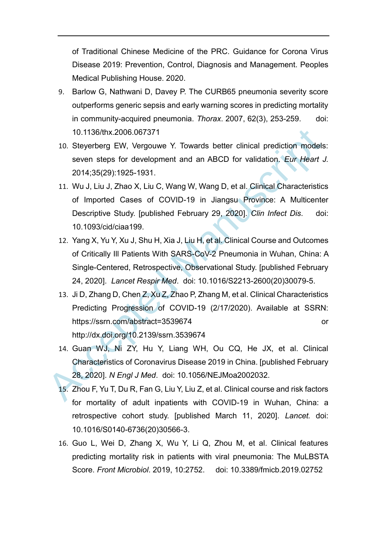of Traditional Chinese Medicine of the PRC. Guidance for Corona Virus Disease 2019: Prevention, Control, Diagnosis and Management. Peoples Medical Publishing House. 2020.

- 9. Barlow G, Nathwani D, Davey P. The CURB65 pneumonia severity score outperforms generic sepsis and early warning scores in predicting mortality in community-acquired pneumonia. *Thorax*. 2007, 62(3), 253-259. doi: 10.1136/thx.2006.067371
- 10. Steyerberg EW, Vergouwe Y. Towards better clinical prediction models: seven steps for development and an ABCD for validation. *Eur Heart J.* 2014;35(29):1925-1931.
- 10.1136/thx.2006.067371<br>
10. Steyerberg EW, Vergouwe Y. Towards better clinical prediction models<br>
seven steps for development and an ABCD for validation. Eur Heart .<br>
2014;35(29):1925-1931.<br>
11. Wu J, Liu J, Zhao X, Liu 11. Wu J, Liu J, Zhao X, Liu C, Wang W, Wang D, et al. Clinical Characteristics of Imported Cases of COVID-19 in Jiangsu Province: A Multicenter Descriptive Study. [published February 29, 2020]. *Clin Infect Dis*. doi: 10.1093/cid/ciaa199.
	- 12. Yang X, Yu Y, Xu J, Shu H, Xia J, Liu H, et al. Clinical Course and Outcomes of Critically Ill Patients With SARS-CoV-2 Pneumonia in Wuhan, China: A Single-Centered, Retrospective, Observational Study. [published February 24, 2020]. *Lancet Respir Med*. doi: 10.1016/S2213-2600(20)30079-5.
	- 13. Ji D, Zhang D, Chen Z, Xu Z, Zhao P, Zhang M, et al. Clinical Characteristics Predicting Progression of COVID-19 (2/17/2020). Available at SSRN: https://ssrn.com/abstract=3539674 or http://dx.doi.org/10.2139/ssrn.3539674
	- 14. Guan WJ, Ni ZY, Hu Y, Liang WH, Ou CQ, He JX, et al. Clinical Characteristics of Coronavirus Disease 2019 in China. [published February 28, 2020]. *N Engl J Med*. doi: 10.1056/NEJMoa2002032.
	- 15. Zhou F, Yu T, Du R, Fan G, Liu Y, Liu Z, et al. Clinical course and risk factors for mortality of adult inpatients with COVID-19 in Wuhan, China: a retrospective cohort study. [published March 11, 2020]. *Lancet.* doi: 10.1016/S0140-6736(20)30566-3.
	- 16. Guo L, Wei D, Zhang X, Wu Y, Li Q, Zhou M, et al. Clinical features predicting mortality risk in patients with viral pneumonia: The MuLBSTA Score. *Front Microbiol*. 2019, 10:2752. doi: 10.3389/fmicb.2019.02752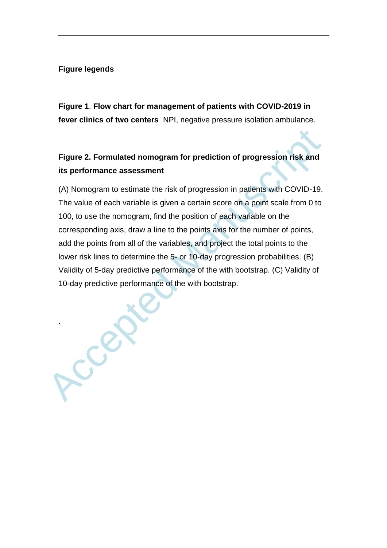## **Figure legends**

.

**Figure 1**. **Flow chart for management of patients with COVID-2019 in fever clinics of two centers** NPI, negative pressure isolation ambulance.

# **Figure 2. Formulated nomogram for prediction of progression risk and its performance assessment**

Figure 2. Formulated nomogram for prediction of progression risk and<br>its performance assessment<br>(A) Nomogram to estimate the risk of progression in patients with COVID-19.<br>The value of each variable is given a certain scor (A) Nomogram to estimate the risk of progression in patients with COVID-19. The value of each variable is given a certain score on a point scale from 0 to 100, to use the nomogram, find the position of each variable on the corresponding axis, draw a line to the points axis for the number of points, add the points from all of the variables, and project the total points to the lower risk lines to determine the 5- or 10-day progression probabilities. (B) Validity of 5-day predictive performance of the with bootstrap. (C) Validity of 10-day predictive performance of the with bootstrap.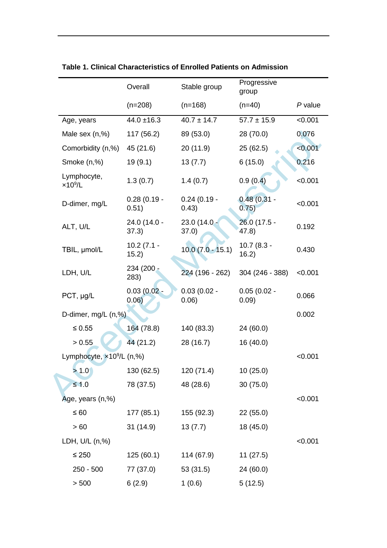|                                    | Overall                | Stable group           | Progressive<br>group   |           |
|------------------------------------|------------------------|------------------------|------------------------|-----------|
|                                    | $(n=208)$              | $(n=168)$              | $(n=40)$               | $P$ value |
| Age, years                         | $44.0 \pm 16.3$        | $40.7 \pm 14.7$        | $57.7 \pm 15.9$        | < 0.001   |
| Male sex (n,%)                     | 117 (56.2)             | 89 (53.0)              | 28 (70.0)              | 0.076     |
| Comorbidity (n,%)                  | 45 (21.6)              | 20(11.9)               | 25(62.5)               | < 0.001   |
| Smoke (n,%)                        | 19(9.1)                | 13(7.7)                | 6(15.0)                | 0.216     |
| Lymphocyte,<br>$\times 10^9$ /L    | 1.3(0.7)               | 1.4(0.7)               | 0.9(0.4)               | < 0.001   |
| D-dimer, mg/L                      | $0.28(0.19 -$<br>0.51) | $0.24(0.19 -$<br>0.43) | $0.48(0.31 -$<br>0.75) | < 0.001   |
| ALT, U/L                           | 24.0 (14.0 -<br>37.3)  | $23.0(14.0 -$<br>37.0) | 26.0 (17.5 -<br>(47.8) | 0.192     |
| TBIL, µmol/L                       | $10.2(7.1 -$<br>15.2)  | $10.0(7.0 - 15.1)$     | $10.7(8.3 -$<br>16.2)  | 0.430     |
| LDH, U/L                           | 234 (200 -<br>283)     | 224 (196 - 262)        | 304 (246 - 388)        | < 0.001   |
| PCT, µg/L                          | $0.03(0.02 -$<br>0.06) | $0.03(0.02 -$<br>0.06) | $0.05(0.02 -$<br>0.09) | 0.066     |
| D-dimer, mg/L (n,%)                |                        |                        |                        | 0.002     |
| $\leq 0.55$                        | 164 (78.8)             | 140 (83.3)             | 24 (60.0)              |           |
| > 0.55                             | 44 (21.2)              | 28 (16.7)              | 16 (40.0)              |           |
| Lymphocyte, $\times 10^9$ /L (n,%) |                        |                        |                        | < 0.001   |
| >1.0                               | 130 (62.5)             | 120 (71.4)             | 10(25.0)               |           |
| $\leq 1.0$                         | 78 (37.5)              | 48 (28.6)              | 30(75.0)               |           |
| Age, years (n,%)                   |                        |                        |                        | < 0.001   |
| $\leq 60$                          | 177 (85.1)             | 155 (92.3)             | 22(55.0)               |           |
| >60                                | 31 (14.9)              | 13(7.7)                | 18 (45.0)              |           |
| LDH, U/L (n,%)                     |                        |                        |                        | < 0.001   |
| $≤ 250$                            | 125(60.1)              | 114 (67.9)             | 11(27.5)               |           |
| $250 - 500$                        | 77 (37.0)              | 53(31.5)               | 24 (60.0)              |           |
| > 500                              | 6(2.9)                 | 1(0.6)                 | 5(12.5)                |           |

**Table 1. Clinical Characteristics of Enrolled Patients on Admission**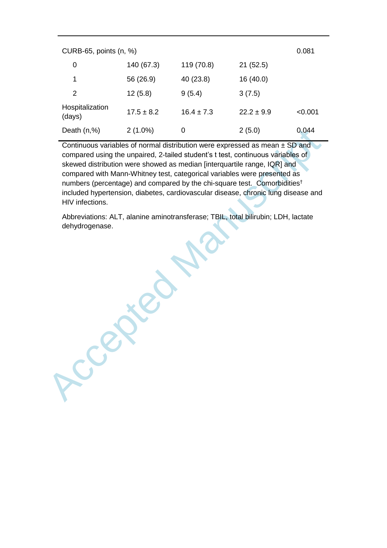| CURB-65, points (n, %)    |                |                |                | 0.081   |
|---------------------------|----------------|----------------|----------------|---------|
| 0                         | 140 (67.3)     | 119 (70.8)     | 21(52.5)       |         |
| 1                         | 56 (26.9)      | 40 (23.8)      | 16(40.0)       |         |
| 2                         | 12(5.8)        | 9(5.4)         | 3(7.5)         |         |
| Hospitalization<br>(days) | $17.5 \pm 8.2$ | $16.4 \pm 7.3$ | $22.2 \pm 9.9$ | < 0.001 |
| Death $(n,%)$             | $2(1.0\%)$     | 0              | 2(5.0)         | 0.044   |

Continuous variables of normal distribution were expressed as mean ± SD and compared using the unpaired, 2-tailed student's t test, continuous variables of skewed distribution were showed as median [interquartile range, IQR] and compared with Mann-Whitney test, categorical variables were presented as numbers (percentage) and compared by the chi-square test. Comorbidities† included hypertension, diabetes, cardiovascular disease, chronic lung disease and HIV infections.

Ccepted Manuscript Abbreviations: ALT, alanine aminotransferase; TBIL, total bilirubin; LDH, lactate dehydrogenase.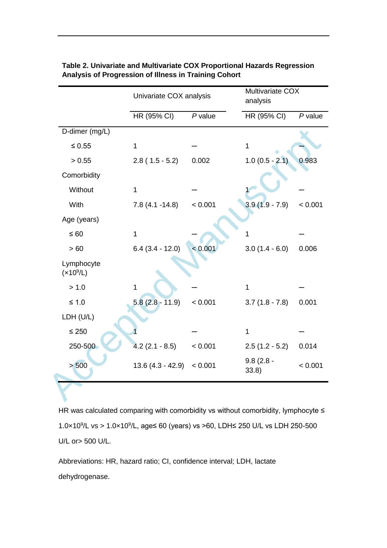|                             | Univariate COX analysis |           | Multivariate COX<br>analysis |                      |
|-----------------------------|-------------------------|-----------|------------------------------|----------------------|
|                             | HR (95% CI)             | $P$ value | HR (95% CI)                  | $\overline{P}$ value |
| D-dimer (mg/L)              |                         |           |                              |                      |
| $\leq 0.55$                 | 1                       |           | 1                            |                      |
| > 0.55                      | $2.8(1.5 - 5.2)$        | 0.002     | $1.0(0.5 - 2.1)$             | 0.983                |
| Comorbidity                 |                         |           |                              |                      |
| Without                     | $\mathbf{1}$            |           |                              |                      |
| With                        | $7.8(4.1 - 14.8)$       | < 0.001   | $3.9(1.9 - 7.9)$             | < 0.001              |
| Age (years)                 |                         |           |                              |                      |
| $\leq 60$                   | $\mathbf{1}$            |           | 1                            |                      |
| >60                         | $6.4(3.4 - 12.0)$       | < 0.001   | $3.0(1.4 - 6.0)$             | 0.006                |
| Lymphocyte<br>$(x10^{9}/L)$ |                         |           |                              |                      |
| > 1.0                       | 1                       |           | 1                            |                      |
| $≤ 1.0$                     | $5.8(2.8 - 11.9)$       | < 0.001   | $3.7(1.8 - 7.8)$             | 0.001                |
| LDH (U/L)                   |                         |           |                              |                      |
| $\leq 250$                  |                         |           | $\mathbf{1}$                 |                      |
| 250-500                     | $4.2(2.1 - 8.5)$        | < 0.001   | $2.5(1.2 - 5.2)$             | 0.014                |
| > 500                       | $13.6(4.3 - 42.9)$      | < 0.001   | $9.8(2.8 -$<br>33.8)         | < 0.001              |

## **Table 2. Univariate and Multivariate COX Proportional Hazards Regression Analysis of Progression of Illness in Training Cohort**

HR was calculated comparing with comorbidity vs without comorbidity, lymphocyte ≤ 1.0×10<sup>9</sup>/L vs > 1.0×10<sup>9</sup>/L, age≤ 60 (years) vs >60, LDH≤ 250 U/L vs LDH 250-500 U/L or> 500 U/L.

Abbreviations: HR, hazard ratio; CI, confidence interval; LDH, lactate dehydrogenase.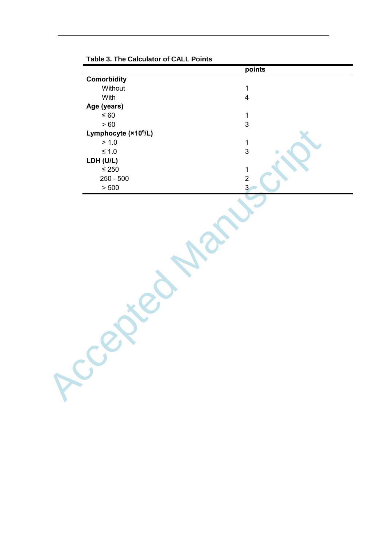| <b>Comorbidity</b><br>Without<br>With<br>Age (years)<br>$\leq 60$<br>$>60$<br>Lymphocyte (×10 <sup>9</sup> /L) | points<br>$\mathbf{1}$<br>$\overline{\mathbf{4}}$<br>$\mathbf 1$<br>$\mathbf{3}$ |
|----------------------------------------------------------------------------------------------------------------|----------------------------------------------------------------------------------|
|                                                                                                                |                                                                                  |
|                                                                                                                |                                                                                  |
|                                                                                                                |                                                                                  |
|                                                                                                                |                                                                                  |
|                                                                                                                |                                                                                  |
|                                                                                                                |                                                                                  |
|                                                                                                                |                                                                                  |
|                                                                                                                |                                                                                  |
| > 1.0                                                                                                          | $\mathbf 1$                                                                      |
| $\leq 1.0$                                                                                                     | $\mathbf{3}$                                                                     |
| LDH (U/L)                                                                                                      |                                                                                  |
| $\leq 250$                                                                                                     | $\mathbf 1$                                                                      |
| $250 - 500$                                                                                                    | $\overline{c}$                                                                   |
| $>500\,$                                                                                                       | $\overline{3}$                                                                   |
| PCC                                                                                                            |                                                                                  |

**Table 3. The Calculator of CALL Points**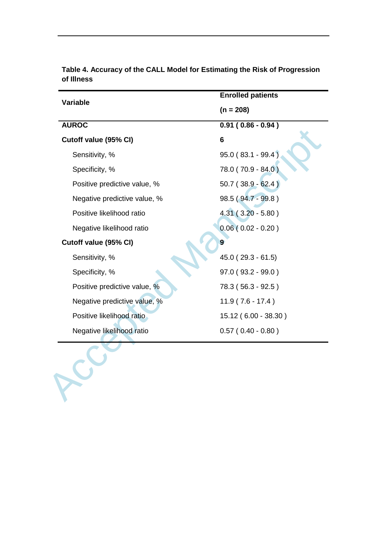| <b>Variable</b>              | <b>Enrolled patients</b> |  |
|------------------------------|--------------------------|--|
|                              | $(n = 208)$              |  |
| <b>AUROC</b>                 | $0.91(0.86 - 0.94)$      |  |
| Cutoff value (95% CI)        | 6                        |  |
| Sensitivity, %               | 95.0 (83.1 - 99.4)       |  |
| Specificity, %               | 78.0 (70.9 - 84.0)       |  |
| Positive predictive value, % | $50.7(38.9 - 62.4)$      |  |
| Negative predictive value, % | 98.5 (94.7 - 99.8)       |  |
| Positive likelihood ratio    | $4.31(3.20 - 5.80)$      |  |
| Negative likelihood ratio    | $0.06(0.02 - 0.20)$      |  |
| Cutoff value (95% CI)        | 9                        |  |
| Sensitivity, %               | $45.0(29.3 - 61.5)$      |  |
| Specificity, %               | $97.0(93.2-99.0)$        |  |
| Positive predictive value, % | 78.3 (56.3 - 92.5)       |  |
| Negative predictive value, % | $11.9(7.6 - 17.4)$       |  |
| Positive likelihood ratio    | 15.12 (6.00 - 38.30)     |  |
| Negative likelihood ratio    | $0.57(0.40 - 0.80)$      |  |

**Table 4. Accuracy of the CALL Model for Estimating the Risk of Progression of Illness**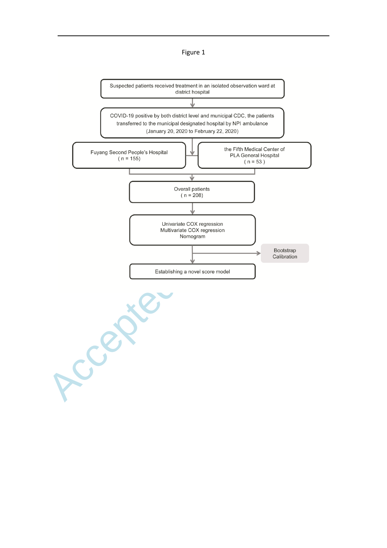Figure 1